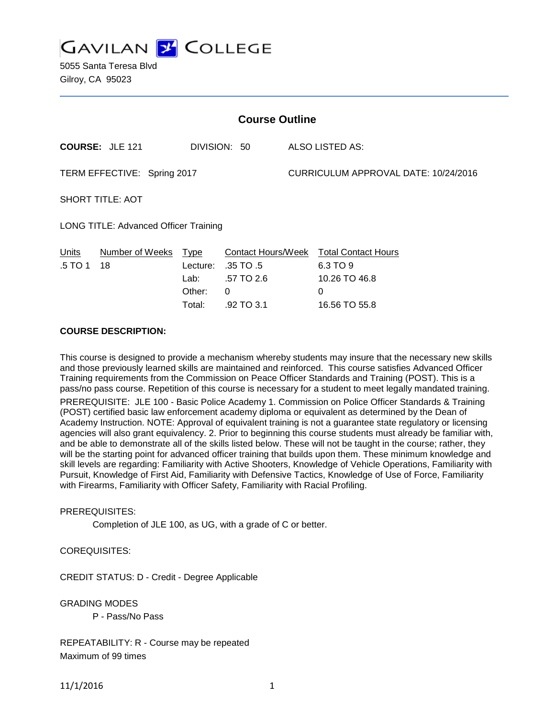**GAVILAN Z COLLEGE** 

5055 Santa Teresa Blvd Gilroy, CA 95023

| <b>Course Outline</b>                        |                        |                                                     |                                                                  |                                      |                                                                               |  |
|----------------------------------------------|------------------------|-----------------------------------------------------|------------------------------------------------------------------|--------------------------------------|-------------------------------------------------------------------------------|--|
|                                              | <b>COURSE: JLE 121</b> |                                                     | DIVISION: 50                                                     |                                      | ALSO LISTED AS:                                                               |  |
| TERM EFFECTIVE: Spring 2017                  |                        |                                                     |                                                                  | CURRICULUM APPROVAL DATE: 10/24/2016 |                                                                               |  |
| <b>SHORT TITLE: AOT</b>                      |                        |                                                     |                                                                  |                                      |                                                                               |  |
| <b>LONG TITLE: Advanced Officer Training</b> |                        |                                                     |                                                                  |                                      |                                                                               |  |
| Units<br>.5 TO 1                             | Number of Weeks<br>18  | <b>Type</b><br>Lecture:<br>Lab:<br>Other:<br>Total: | Contact Hours/Week<br>.35 TO .5<br>.57 TO 2.6<br>0<br>.92 TO 3.1 |                                      | <b>Total Contact Hours</b><br>6.3 TO 9<br>10.26 TO 46.8<br>0<br>16.56 TO 55.8 |  |

### **COURSE DESCRIPTION:**

This course is designed to provide a mechanism whereby students may insure that the necessary new skills and those previously learned skills are maintained and reinforced. This course satisfies Advanced Officer Training requirements from the Commission on Peace Officer Standards and Training (POST). This is a pass/no pass course. Repetition of this course is necessary for a student to meet legally mandated training.

PREREQUISITE: JLE 100 - Basic Police Academy 1. Commission on Police Officer Standards & Training (POST) certified basic law enforcement academy diploma or equivalent as determined by the Dean of Academy Instruction. NOTE: Approval of equivalent training is not a guarantee state regulatory or licensing agencies will also grant equivalency. 2. Prior to beginning this course students must already be familiar with, and be able to demonstrate all of the skills listed below. These will not be taught in the course; rather, they will be the starting point for advanced officer training that builds upon them. These minimum knowledge and skill levels are regarding: Familiarity with Active Shooters, Knowledge of Vehicle Operations, Familiarity with Pursuit, Knowledge of First Aid, Familiarity with Defensive Tactics, Knowledge of Use of Force, Familiarity with Firearms, Familiarity with Officer Safety, Familiarity with Racial Profiling.

# PREREQUISITES:

Completion of JLE 100, as UG, with a grade of C or better.

#### COREQUISITES:

CREDIT STATUS: D - Credit - Degree Applicable

GRADING MODES

P - Pass/No Pass

REPEATABILITY: R - Course may be repeated Maximum of 99 times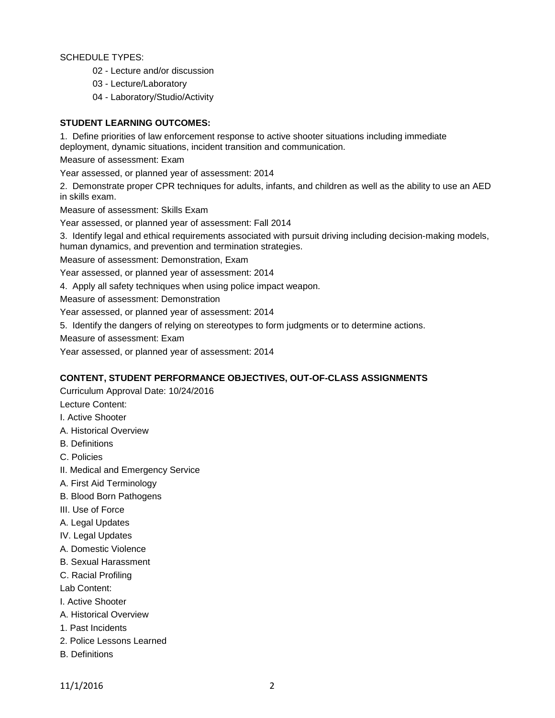SCHEDULE TYPES:

- 02 Lecture and/or discussion
- 03 Lecture/Laboratory
- 04 Laboratory/Studio/Activity

# **STUDENT LEARNING OUTCOMES:**

1. Define priorities of law enforcement response to active shooter situations including immediate deployment, dynamic situations, incident transition and communication.

Measure of assessment: Exam

Year assessed, or planned year of assessment: 2014

2. Demonstrate proper CPR techniques for adults, infants, and children as well as the ability to use an AED in skills exam.

Measure of assessment: Skills Exam

Year assessed, or planned year of assessment: Fall 2014

3. Identify legal and ethical requirements associated with pursuit driving including decision-making models, human dynamics, and prevention and termination strategies.

Measure of assessment: Demonstration, Exam

Year assessed, or planned year of assessment: 2014

4. Apply all safety techniques when using police impact weapon.

Measure of assessment: Demonstration

Year assessed, or planned year of assessment: 2014

5. Identify the dangers of relying on stereotypes to form judgments or to determine actions.

Measure of assessment: Exam

Year assessed, or planned year of assessment: 2014

#### **CONTENT, STUDENT PERFORMANCE OBJECTIVES, OUT-OF-CLASS ASSIGNMENTS**

Curriculum Approval Date: 10/24/2016

Lecture Content:

- I. Active Shooter
- A. Historical Overview
- B. Definitions
- C. Policies
- II. Medical and Emergency Service
- A. First Aid Terminology
- B. Blood Born Pathogens
- III. Use of Force
- A. Legal Updates
- IV. Legal Updates
- A. Domestic Violence
- B. Sexual Harassment
- C. Racial Profiling

Lab Content:

I. Active Shooter

- A. Historical Overview
- 1. Past Incidents
- 2. Police Lessons Learned
- B. Definitions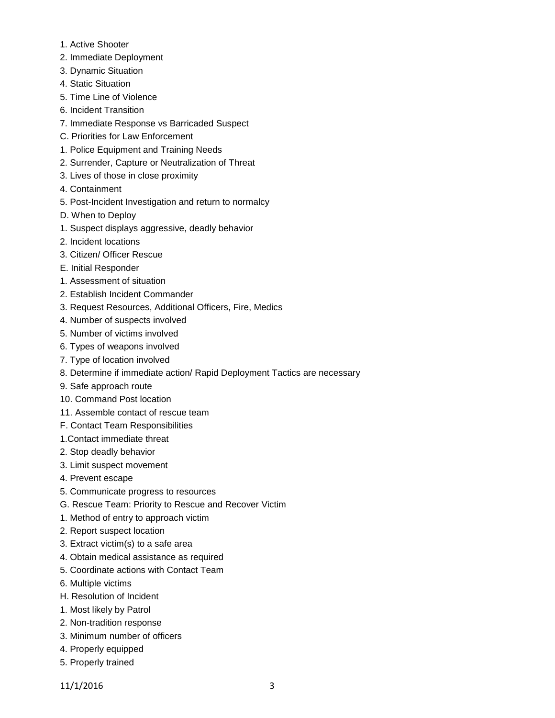- 1. Active Shooter
- 2. Immediate Deployment
- 3. Dynamic Situation
- 4. Static Situation
- 5. Time Line of Violence
- 6. Incident Transition
- 7. Immediate Response vs Barricaded Suspect
- C. Priorities for Law Enforcement
- 1. Police Equipment and Training Needs
- 2. Surrender, Capture or Neutralization of Threat
- 3. Lives of those in close proximity
- 4. Containment
- 5. Post-Incident Investigation and return to normalcy
- D. When to Deploy
- 1. Suspect displays aggressive, deadly behavior
- 2. Incident locations
- 3. Citizen/ Officer Rescue
- E. Initial Responder
- 1. Assessment of situation
- 2. Establish Incident Commander
- 3. Request Resources, Additional Officers, Fire, Medics
- 4. Number of suspects involved
- 5. Number of victims involved
- 6. Types of weapons involved
- 7. Type of location involved
- 8. Determine if immediate action/ Rapid Deployment Tactics are necessary
- 9. Safe approach route
- 10. Command Post location
- 11. Assemble contact of rescue team
- F. Contact Team Responsibilities
- 1.Contact immediate threat
- 2. Stop deadly behavior
- 3. Limit suspect movement
- 4. Prevent escape
- 5. Communicate progress to resources
- G. Rescue Team: Priority to Rescue and Recover Victim
- 1. Method of entry to approach victim
- 2. Report suspect location
- 3. Extract victim(s) to a safe area
- 4. Obtain medical assistance as required
- 5. Coordinate actions with Contact Team
- 6. Multiple victims
- H. Resolution of Incident
- 1. Most likely by Patrol
- 2. Non-tradition response
- 3. Minimum number of officers
- 4. Properly equipped
- 5. Properly trained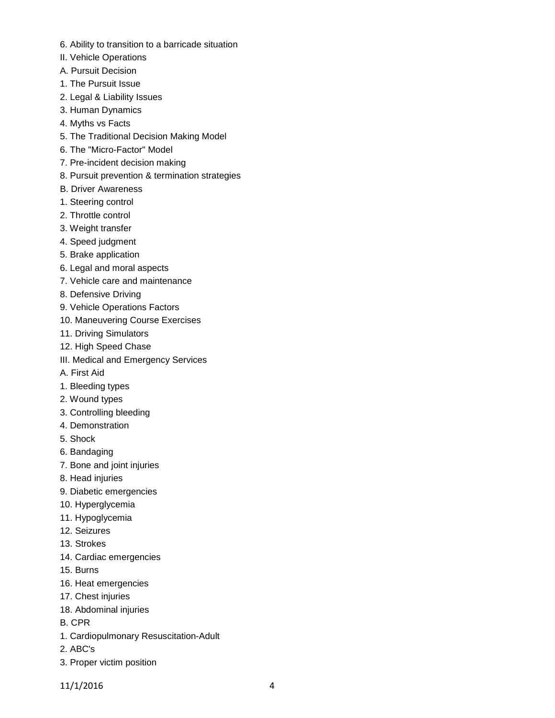- 6. Ability to transition to a barricade situation
- II. Vehicle Operations
- A. Pursuit Decision
- 1. The Pursuit Issue
- 2. Legal & Liability Issues
- 3. Human Dynamics
- 4. Myths vs Facts
- 5. The Traditional Decision Making Model
- 6. The "Micro-Factor" Model
- 7. Pre-incident decision making
- 8. Pursuit prevention & termination strategies
- B. Driver Awareness
- 1. Steering control
- 2. Throttle control
- 3. Weight transfer
- 4. Speed judgment
- 5. Brake application
- 6. Legal and moral aspects
- 7. Vehicle care and maintenance
- 8. Defensive Driving
- 9. Vehicle Operations Factors
- 10. Maneuvering Course Exercises
- 11. Driving Simulators
- 12. High Speed Chase
- III. Medical and Emergency Services
- A. First Aid
- 1. Bleeding types
- 2. Wound types
- 3. Controlling bleeding
- 4. Demonstration
- 5. Shock
- 6. Bandaging
- 7. Bone and joint injuries
- 8. Head injuries
- 9. Diabetic emergencies
- 10. Hyperglycemia
- 11. Hypoglycemia
- 12. Seizures
- 13. Strokes
- 14. Cardiac emergencies
- 15. Burns
- 16. Heat emergencies
- 17. Chest injuries
- 18. Abdominal injuries
- B. CPR
- 1. Cardiopulmonary Resuscitation-Adult
- 2. ABC's
- 3. Proper victim position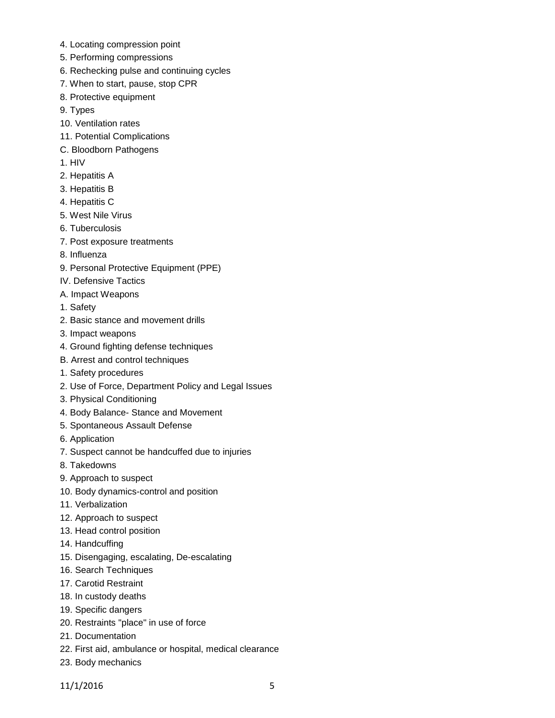- 4. Locating compression point
- 5. Performing compressions
- 6. Rechecking pulse and continuing cycles
- 7. When to start, pause, stop CPR
- 8. Protective equipment
- 9. Types
- 10. Ventilation rates
- 11. Potential Complications
- C. Bloodborn Pathogens
- 1. HIV
- 2. Hepatitis A
- 3. Hepatitis B
- 4. Hepatitis C
- 5. West Nile Virus
- 6. Tuberculosis
- 7. Post exposure treatments
- 8. Influenza
- 9. Personal Protective Equipment (PPE)
- IV. Defensive Tactics
- A. Impact Weapons
- 1. Safety
- 2. Basic stance and movement drills
- 3. Impact weapons
- 4. Ground fighting defense techniques
- B. Arrest and control techniques
- 1. Safety procedures
- 2. Use of Force, Department Policy and Legal Issues
- 3. Physical Conditioning
- 4. Body Balance- Stance and Movement
- 5. Spontaneous Assault Defense
- 6. Application
- 7. Suspect cannot be handcuffed due to injuries
- 8. Takedowns
- 9. Approach to suspect
- 10. Body dynamics-control and position
- 11. Verbalization
- 12. Approach to suspect
- 13. Head control position
- 14. Handcuffing
- 15. Disengaging, escalating, De-escalating
- 16. Search Techniques
- 17. Carotid Restraint
- 18. In custody deaths
- 19. Specific dangers
- 20. Restraints "place" in use of force
- 21. Documentation
- 22. First aid, ambulance or hospital, medical clearance
- 23. Body mechanics

11/1/2016 5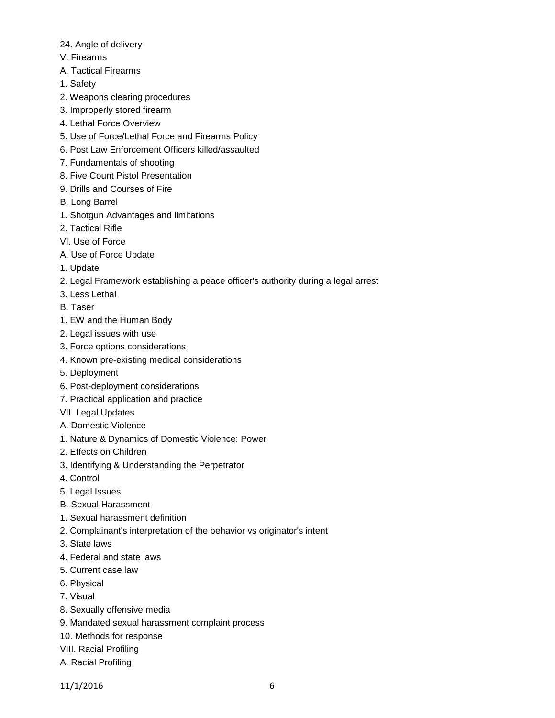- 24. Angle of delivery
- V. Firearms
- A. Tactical Firearms
- 1. Safety
- 2. Weapons clearing procedures
- 3. Improperly stored firearm
- 4. Lethal Force Overview
- 5. Use of Force/Lethal Force and Firearms Policy
- 6. Post Law Enforcement Officers killed/assaulted
- 7. Fundamentals of shooting
- 8. Five Count Pistol Presentation
- 9. Drills and Courses of Fire
- B. Long Barrel
- 1. Shotgun Advantages and limitations
- 2. Tactical Rifle
- VI. Use of Force
- A. Use of Force Update
- 1. Update
- 2. Legal Framework establishing a peace officer's authority during a legal arrest
- 3. Less Lethal
- B. Taser
- 1. EW and the Human Body
- 2. Legal issues with use
- 3. Force options considerations
- 4. Known pre-existing medical considerations
- 5. Deployment
- 6. Post-deployment considerations
- 7. Practical application and practice
- VII. Legal Updates
- A. Domestic Violence
- 1. Nature & Dynamics of Domestic Violence: Power
- 2. Effects on Children
- 3. Identifying & Understanding the Perpetrator
- 4. Control
- 5. Legal Issues
- B. Sexual Harassment
- 1. Sexual harassment definition
- 2. Complainant's interpretation of the behavior vs originator's intent
- 3. State laws
- 4. Federal and state laws
- 5. Current case law
- 6. Physical
- 7. Visual
- 8. Sexually offensive media
- 9. Mandated sexual harassment complaint process
- 10. Methods for response
- VIII. Racial Profiling
- A. Racial Profiling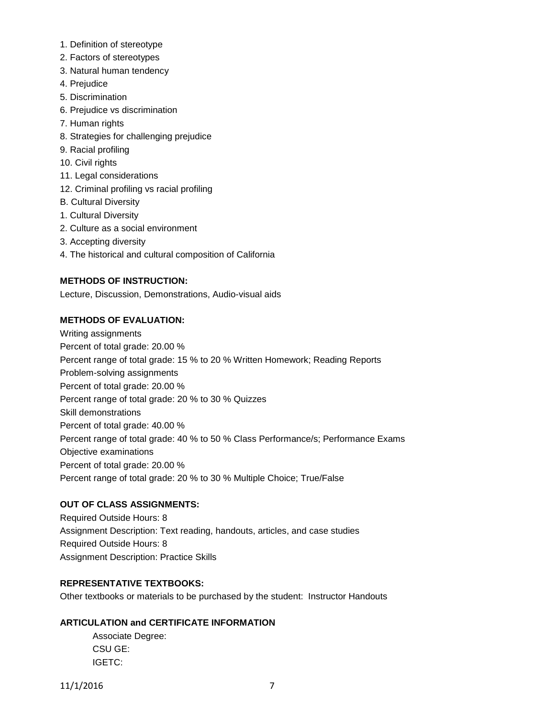- 1. Definition of stereotype
- 2. Factors of stereotypes
- 3. Natural human tendency
- 4. Prejudice
- 5. Discrimination
- 6. Prejudice vs discrimination
- 7. Human rights
- 8. Strategies for challenging prejudice
- 9. Racial profiling
- 10. Civil rights
- 11. Legal considerations
- 12. Criminal profiling vs racial profiling
- B. Cultural Diversity
- 1. Cultural Diversity
- 2. Culture as a social environment
- 3. Accepting diversity
- 4. The historical and cultural composition of California

# **METHODS OF INSTRUCTION:**

Lecture, Discussion, Demonstrations, Audio-visual aids

# **METHODS OF EVALUATION:**

Writing assignments Percent of total grade: 20.00 % Percent range of total grade: 15 % to 20 % Written Homework; Reading Reports Problem-solving assignments Percent of total grade: 20.00 % Percent range of total grade: 20 % to 30 % Quizzes Skill demonstrations Percent of total grade: 40.00 % Percent range of total grade: 40 % to 50 % Class Performance/s; Performance Exams Objective examinations Percent of total grade: 20.00 % Percent range of total grade: 20 % to 30 % Multiple Choice; True/False

# **OUT OF CLASS ASSIGNMENTS:**

Required Outside Hours: 8 Assignment Description: Text reading, handouts, articles, and case studies Required Outside Hours: 8 Assignment Description: Practice Skills

# **REPRESENTATIVE TEXTBOOKS:**

Other textbooks or materials to be purchased by the student: Instructor Handouts

# **ARTICULATION and CERTIFICATE INFORMATION**

Associate Degree: CSU GE: IGETC:

11/1/2016 7